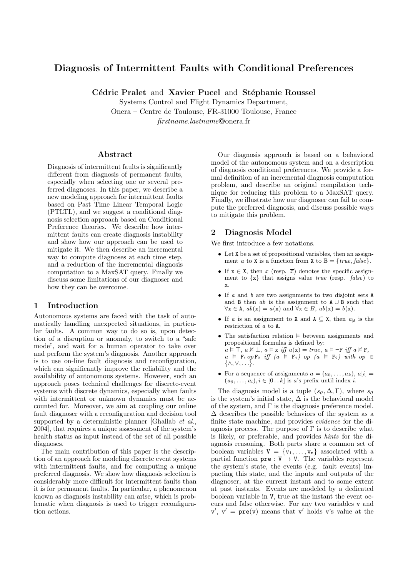# Diagnosis of Intermittent Faults with Conditional Preferences

Cédric Pralet and Xavier Pucel and Stéphanie Roussel

Systems Control and Flight Dynamics Department, Onera – Centre de Toulouse, FR-31000 Toulouse, France firstname.lastname@onera.fr

### Abstract

Diagnosis of intermittent faults is significantly different from diagnosis of permanent faults, especially when selecting one or several preferred diagnoses. In this paper, we describe a new modeling approach for intermittent faults based on Past Time Linear Temporal Logic (PTLTL), and we suggest a conditional diagnosis selection approach based on Conditional Preference theories. We describe how intermittent faults can create diagnosis instability and show how our approach can be used to mitigate it. We then describe an incremental way to compute diagnoses at each time step, and a reduction of the incremental diagnosis computation to a MaxSAT query. Finally we discuss some limitations of our diagnoser and how they can be overcome.

### 1 Introduction

Autonomous systems are faced with the task of automatically handling unexpected situations, in particular faults. A common way to do so is, upon detection of a disruption or anomaly, to switch to a "safe mode", and wait for a human operator to take over and perform the system's diagnosis. Another approach is to use on-line fault diagnosis and reconfiguration, which can significantly improve the reliability and the availability of autonomous systems. However, such an approach poses technical challenges for discrete-event systems with discrete dynamics, especially when faults with intermittent or unknown dynamics must be accounted for. Moreover, we aim at coupling our online fault diagnoser with a reconfiguration and decision tool supported by a deterministic planner [Ghallab  $et \ al.,$ 2004], that requires a unique assessment of the system's health status as input instead of the set of all possible diagnoses.

The main contribution of this paper is the description of an approach for modeling discrete event systems with intermittent faults, and for computing a unique preferred diagnosis. We show how diagnosis selection is considerably more difficult for intermittent faults than it is for permanent faults. In particular, a phenomenon known as diagnosis instability can arise, which is problematic when diagnosis is used to trigger reconfiguration actions.

Our diagnosis approach is based on a behavioral model of the autonomous system and on a description of diagnosis conditional preferences. We provide a formal definition of an incremental diagnosis computation problem, and describe an original compilation technique for reducing this problem to a MaxSAT query. Finally, we illustrate how our diagnoser can fail to compute the preferred diagnosis, and discuss possible ways to mitigate this problem.

### 2 Diagnosis Model

We first introduce a few notations.

- Let X be a set of propositional variables, then an assignment a to X is a function from X to  $\mathbb{B} = \{true, false\}.$
- If  $x \in X$ , then x (resp.  $\overline{x}$ ) denotes the specific assignment to  $\{x\}$  that assigns value *true* (resp. *false*) to x.
- If a and b are two assignments to two disjoint sets A and B then  $ab$  is the assignment to  $A \cup B$  such that  $\forall x \in A$ ,  $ab(x) = a(x)$  and  $\forall x \in B$ ,  $ab(x) = b(x)$ .
- If a is an assignment to X and  $A \subseteq X$ , then  $a_{|A}$  is the restriction of a to A.
- The satisfaction relation  $\models$  between assignments and propositional formulas is defined by:  $a \vDash \top$ ,  $a \nvDash \bot$ ,  $a \vDash x$  iff  $a(x) = true$ ,  $a \vDash \neg F$  iff  $a \nvDash F$ ,  $a \models \mathbf{F}_1 op \mathbf{F}_2 \text{ iff } (a \models \mathbf{F}_1) op (a \models \mathbf{F}_2) with op \in$  $\{\wedge, \vee, \ldots\}.$
- For a sequence of assignments  $a = (a_0, \ldots, a_k), a[i] =$  $(a_0, \ldots, a_i), i \in [0 \ldots k]$  is a's prefix until index i.

The diagnosis model is a tuple  $(s_0, \Delta, \Gamma)$ , where  $s_0$ is the system's initial state,  $\Delta$  is the behavioral model of the system, and  $\Gamma$  is the diagnosis preference model.  $\Delta$  describes the possible behaviors of the system as a finite state machine, and provides evidence for the diagnosis process. The purpose of  $\Gamma$  is to describe what is likely, or preferable, and provides hints for the diagnosis reasoning. Both parts share a common set of boolean variables  $V = \{v_1, \ldots, v_n\}$  associated with a partial function  $pre : V \rightarrow V$ . The variables represent the system's state, the events (e.g. fault events) impacting this state, and the inputs and outputs of the diagnoser, at the current instant and to some extent at past instants. Events are modeled by a dedicated boolean variable in V, true at the instant the event occurs and false otherwise. For any two variables v and  $v'$ ,  $v' = \text{pre}(v)$  means that v' holds v's value at the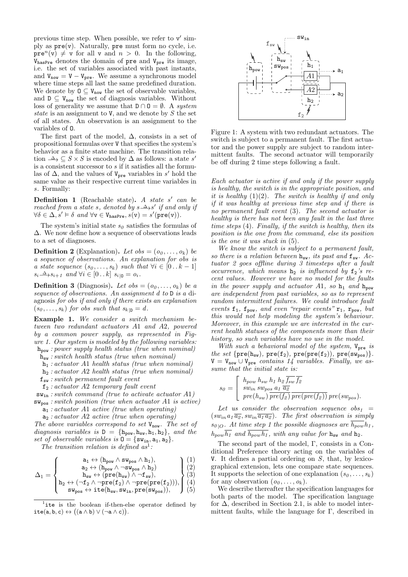previous time step. When possible, we refer to  $v'$  simply as  $pre(v)$ . Naturally, pre must form no cycle, i.e.  $pre<sup>n</sup>(v) \neq v$  for all v and  $n > 0$ . In the following,  $V_{\text{hasPre}}$  denotes the domain of pre and  $V_{\text{pre}}$  its image, i.e. the set of variables associated with past instants, and  $V_{now} = V - V_{pre}$ . We assume a synchronous model where time steps all last the same predefined duration. We denote by  $0 \subseteq V_{now}$  the set of observable variables, and  $D \subseteq V_{now}$  the set of diagnosis variables. Without loss of generality we assume that  $D \cap D = \emptyset$ . A system state is an assignment to V, and we denote by  $S$  the set of all states. An observation is an assignment to the variables of O.

The first part of the model,  $\Delta$ , consists in a set of propositional formulas over V that specifies the system's behavior as a finite state machine. The transition relation  $\stackrel{\Delta}{\longrightarrow} \subseteq S \times S$  is encoded by  $\Delta$  as follows: a state s' is a consistent successor to  $s$  if it satisfies all the formulas of  $\Delta$ , and the values of  $V_{pre}$  variables in s' hold the same value as their respective current time variables in s. Formally:

**Definition 1** (Reachable state). A state s' can be reached from a state s, denoted by  $s \stackrel{\Delta}{\longrightarrow} s'$  if and only if  $\forall \delta \in \Delta, s' \vDash \delta \text{ and } \forall v \in V_{\texttt{hasPre}}, s(v) = s'(\texttt{pre}(v)).$ 

The system's initial state  $s_0$  satisfies the formulas of ∆. We now define how a sequence of observations leads to a set of diagnoses.

**Definition 2** (Explanation). Let  $obs = (o_0, \ldots, o_k)$  be a sequence of observations. An explanation for obs is a state sequence  $(s_0, \ldots, s_k)$  such that  $\forall i \in [0 \ldots k-1]$  $s_i \stackrel{\Delta}{\longrightarrow} s_{i+1}$  and  $\forall i \in [0..k]$   $s_{i|0} = o_i$ .

**Definition 3** (Diagnosis). Let  $obs = (o_0, \ldots, o_k)$  be a sequence of observations. An assignment d to D is a diagnosis for obs if and only if there exists an explanation  $(s_0, \ldots, s_k)$  for obs such that  $s_{k|D} = d$ .

Example 1. We consider a switch mechanism between two redundant actuators A1 and A2, powered by a common power supply, as represented in Figure 1. Our system is modeled by the following variables: hpow : power supply health status (true when nominal)

 $h_{sw}$ : switch health status (true when nominal)

- $h_1$ : actuator A1 health status (true when nominal)
- $h_2$ : actuator A2 health status (true when nominal)
- $f_{sw}$ : switch permanent fault event
- $f_2$ : actuator A2 temporary fault event

 $\mathbf{sw}_{\text{in}}$ : switch command (true to activate actuator A1)  $\mathbf{s}_{\mathbf{w}_{\text{pos}}}$ : switch position (true when actuator A1 is active)

- $a_1$ : actuator A1 active (true when operating)
- $a_2: actuator A2 active (true when operating)$

The above variables correspond to set  $V_{now}$ . The set of diagnosis variables is  $D = \{h_{pow}, h_{sw}, h_1, h_2\}$ , and the set of observable variables is  $0 = \{sw_{in}, a_1, a_2\}.$ 

The transition relation is defined  $as^1$ :

 $\sqrt{ }$ 

$$
\mathbf{a}_1 \leftrightarrow (\mathbf{h}_{\text{pow}} \land \mathbf{s} \mathbf{w}_{\text{pos}} \land \mathbf{h}_1), \tag{1}
$$

$$
\Delta_1 = \begin{cases}\n\text{a}_2 \leftrightarrow (\mathbf{h}_{\text{pow}} \land \neg \text{sw}_{\text{pos}} \land \mathbf{h}_2) \\
\text{b}_{\text{sw}} \leftrightarrow (\text{pre}(\mathbf{h}_{\text{sw}}) \land \neg \mathbf{f}_{\text{sw}}),\n\end{cases}\n\qquad \qquad\n\begin{pmatrix}\n(2) \\
(3)\n\end{pmatrix}
$$

$$
= \left\{ \begin{array}{c} \mathbf{h}_{\mathbf{sw}} \leftrightarrow (\mathbf{pre}(\mathbf{h}_{\mathbf{sw}}) \land \neg \mathbf{f}_{\mathbf{sw}}), \\ \mathbf{h}_{\mathbf{sw}} \leftrightarrow (\mathbf{pre}(\mathbf{h}_{\mathbf{sw}}) \land \neg \mathbf{f}_{\mathbf{sw}}), \end{array} \right\} \tag{3}
$$

$$
\begin{bmatrix} h_2 \leftrightarrow (\neg f_2 \land \neg pre(f_2) \land \neg pre(pre(f_2))), \\ \mathbf{sw}_{pos} \leftrightarrow \text{ite}(h_{sw}, \mathbf{sw}_{in}, pre(\mathbf{sw}_{pos})), \end{bmatrix} \begin{bmatrix} 4 \\ 5 \end{bmatrix}
$$

$$
\left( \text{sw}_{\text{pos}} \leftrightarrow \text{ite}(h_{\text{sw}}, s w_{\text{in}}, \text{pre}(s w_{\text{pos}})), \quad \right) (5)
$$

<sup>1</sup>ite is the boolean if-then-else operator defined by  $\mathtt{ite}(\mathtt{a},\mathtt{b},\mathtt{c}) \leftrightarrow \big((\mathtt{a} \land \mathtt{b}) \lor (\neg \mathtt{a} \land \mathtt{c})\big).$ 



Figure 1: A system with two redundant actuators. The switch is subject to a permanent fault. The first actuator and the power supply are subject to random intermittent faults. The second actuator will temporarily be off during 2 time steps following a fault.

Each actuator is active if and only if the power supply is healthy, the switch is in the appropriate position, and it is healthy  $(1)(2)$ . The switch is healthy if and only if it was healthy at previous time step and if there is no permanent fault event (3). The second actuator is healthy is there has not been any fault in the last three time steps (4). Finally, if the switch is healthy, then its position is the one from the command, else its position is the one it was stuck in (5).

We know the switch is subject to a permanent fault, so there is a relation between  $h_{sw}$ , its past and  $f_{sw}$ . Actuator 2 goes offline during 3 timesteps after a fault occurrence, which means  $h_2$  is influenced by  $f_2$ 's recent values. However we have no model for the faults in the power supply and actuator A1, so  $h_1$  and  $h_{\text{now}}$ are independent from past variables, so as to represent random intermittent failures. We could introduce fault events  $f_1$ ,  $f_{pow}$ , and even "repair events"  $r_1$ ,  $r_{pow}$ , but this would not help modeling the system's behaviour. Moreover, in this example we are interested in the current health statuses of the components more than their history, so such variables have no use in the model.

With such a behavioral model of the system,  $V_{pre}$  is the set  $\{pre(h_{sw}), pre(f_2), pre(pref_2)), pre(sw_{pos})\}.$  $V = V_{now} \cup V_{pre}$  contains 14 variables. Finally, we assume that the initial state is:

$$
s_0 = \begin{bmatrix} h_{pow} \ h_{sw} \ h_1 \ h_2 \overline{f_{sw}} \overline{f_2} \\ sw_{in} \ sw_{pos} \ a_1 \overline{a_2} \\ pre(h_{sw}) \ \overline{pre(f_2)} \ \overline{pre(pref_2))} \ pre(sw_{pos}). \end{bmatrix}
$$

Let us consider the observation sequence  $obs_1$  =  $(sw_{in} a_1 \overline{a_2}, sw_{in} \overline{a_1 a_2})$ . The first observation is simply  $s_{0}$ . At time step 1 the possible diagnoses are  $\overline{h_{pow}}h_1$ ,  $h_{pow}\overline{h_1}$  and  $\overline{h_{pow}h_1}$ , with any value for  $h_{sw}$  and  $h_2$ .

The second part of the model, Γ, consists in a Conditional Preference theory acting on the variables of V. It defines a partial ordering on  $S$ , that, by lexicographical extension, lets one compare state sequences. It supports the selection of one explanation  $(s_0, \ldots, s_k)$ for any observation  $(o_0, \ldots, o_k)$ .

We describe thereafter the specification languages for both parts of the model. The specification language for  $\Delta$ , described in Section 2.1, is able to model intermittent faults, while the language for  $\Gamma$ , described in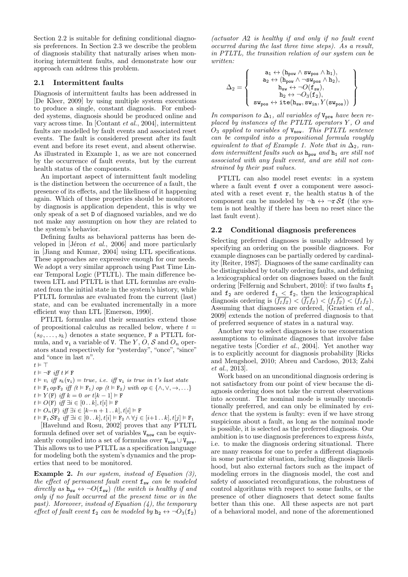Section 2.2 is suitable for defining conditional diagnosis preferences. In Section 2.3 we describe the problem of diagnosis stability that naturally arises when monitoring intermittent faults, and demonstrate how our approach can address this problem.

#### 2.1 Intermittent faults

Diagnosis of intermittent faults has been addressed in [De Kleer, 2009] by using multiple system executions to produce a single, constant diagnosis. For embedded systems, diagnosis should be produced online and vary across time. In [Contant et al., 2004], intermittent faults are modelled by fault events and associated reset events. The fault is considered present after its fault event and before its reset event, and absent otherwise. As illustrated in Example 1, as we are not concerned by the occurrence of fault events, but by the current health status of the components.

An important aspect of intermittent fault modeling is the distinction between the occurrence of a fault, the presence of its effects, and the likeliness of it happening again. Which of these properties should be monitored by diagnosis is application dependent, this is why we only speak of a set D of diagnosed variables, and we do not make any assumption on how they are related to the system's behavior.

Defining faults as behavioral patterns has been developed in [Jéron et al., 2006] and more particularly in [Jiang and Kumar, 2004] using LTL specifications. These approaches are expressive enough for our needs. We adopt a very similar approach using Past Time Linear Temporal Logic (PTLTL). The main difference between LTL and PTLTL is that LTL formulas are evaluated from the initial state in the system's history, while PTLTL formulas are evaluated from the current (last) state, and can be evaluated incrementally in a more efficient way than LTL [Emerson, 1990].

PTLTL formulas and their semantics extend those of propositional calculus as recalled below, where  $t =$  $(s_0, \ldots, s_k)$  denotes a state sequence, F a PTLTL formula, and  $v_i$  a variable of V. The Y, O, S and  $O_n$  operators stand respectively for "yesterday", "once", "since" and "once in last n".

 $t \vDash \top$ 

 $t \vDash \neg \mathbf{F}$  iff  $t \nvDash \mathbf{F}$ 

 $t \vDash v_i$  iff  $s_k(\mathbf{v_i}) = true$ , i.e. iff  $\mathbf{v_i}$  is true in t's last state

 $t \vDash F_1 op F_2$  iff  $(t \vDash F_1) op (t \vDash F_2) with op \in {\wedge, \vee, \rightarrow, \dots}$ 

 $t \vDash Y(\textbf{F})$  iff  $k = 0$  or  $t[k-1] \vDash \textbf{F}$ 

 $t \vDash O(F)$  iff  $\exists i \in [0..k], t[i] \vDash F$ 

 $t \vDash O_n(\mathbf{F})$  iff  $\exists i \in [k-n+1..k], t[i] \vDash \mathbf{F}$ 

 $t \vDash F_1 S F_2 \text{ iff } \exists i \in [0..k], t[i] \vDash F_2 \land \forall j \in [i+1..k], t[j] \vDash F_1$ 

[Havelund and Rosu, 2002] proves that any PTLTL formula defined over set of variables  $V_{now}$  can be equivalently compiled into a set of formulas over  $V_{now} \cup V_{pre}$ . This allows us to use PTLTL as a specification language for modeling both the system's dynamics and the properties that need to be monitored.

**Example 2.** In our system, instead of Equation  $(3)$ , the effect of permanent fault event  $f_{sw}$  can be modeled directly as  $h_{sw} \leftrightarrow \neg O(f_{sw})$  (the switch is healthy if and only if no fault occurred at the present time or in the past). Moreover, instead of Equation  $(4)$ , the temporary effect of fault event  $f_2$  can be modeled by  $h_2 \leftrightarrow \neg O_3(f_2)$ 

(actuator A2 is healthy if and only if no fault event occurred during the last three time steps). As a result, in PTLTL, the transition relation of our system can be written:

$$
\Delta_2 = \left\{\begin{array}{c} \mathsf{a}_1 \leftrightarrow (\mathsf{h}_{\text{pow}} \wedge \mathsf{sw}_{\text{pos}} \wedge \mathsf{h}_1), \\ \mathsf{a}_2 \leftrightarrow (\mathsf{h}_{\text{pow}} \wedge \neg \mathsf{sw}_{\text{pos}} \wedge \mathsf{h}_2), \\ \mathsf{h}_{\text{sw}} \leftrightarrow \neg O(\mathsf{f}_{\text{sw}}), \\ \mathsf{h}_2 \leftrightarrow \neg O_3(\mathsf{f}_2), \\ \mathsf{sw}_{\text{pos}} \leftrightarrow \texttt{ite}(\mathsf{h}_{\text{sw}},\mathsf{sw}_{\text{in}},Y(\mathsf{sw}_{\text{pos}})) \end{array}\right\}
$$

In comparison to  $\Delta_1$ , all variables of  $V_{pre}$  have been replaced by instances of the PTLTL operators Y , O and  $O_3$  applied to variables of  $V_{now}$ . This PTLTL sentence can be compiled into a propositional formula roughly equivalent to that of Example 1. Note that in  $\Delta_2$ , random intermittent faults such as  $h_{pow}$  and  $h_1$  are still not associated with any fault event, and are still not constrained by their past values.

PTLTL can also model reset events: in a system where a fault event f over a component were associated with a reset event r, the health status h of the component can be modeled by  $\neg$ **h**  $\leftrightarrow \neg$ **r** S**f** (the system is not healthy if there has been no reset since the last fault event).

#### 2.2 Conditional diagnosis preferences

Selecting preferred diagnoses is usually addressed by specifying an ordering on the possible diagnoses. For example diagnoses can be partially ordered by cardinality [Reiter, 1987]. Diagnoses of the same cardinality can be distinguished by totally ordering faults, and defining a lexicographical order on diagnoses based on the fault ordering [Felfernig and Schubert, 2010]: if two faults  $f_1$ and  $f_2$  are ordered  $f_1 < f_2$ , then the lexicographical diagnosis ordering is  $(f_1 f_2) < (f_1 f_2) < (f_1 f_2) < (f_1 f_2)$ . Assuming that diagnoses are ordered, [Grastien et al., 2009] extends the notion of preferred diagnosis to that of preferred sequence of states in a natural way.

Another way to select diagnoses is to use exoneration assumptions to eliminate diagnoses that involve false negative tests [Cordier et al., 2004]. Yet another way is to explicitly account for diagnosis probability [Ricks and Mengshoel, 2010; Abreu and Cardoso, 2013; Zabi et al., 2013].

Work based on an unconditional diagnosis ordering is not satisfactory from our point of view because the diagnosis ordering does not take the current observations into account. The nominal mode is usually unconditionally preferred, and can only be eliminated by evidence that the system is faulty: even if we have strong suspicions about a fault, as long as the nominal mode is possible, it is selected as the preferred diagnosis. Our ambition is to use diagnosis preferences to express hints, i.e. to make the diagnosis ordering situational. There are many reasons for one to prefer a different diagnosis in some particular situation, including diagnosis likelihood, but also external factors such as the impact of modeling errors in the diagnosis model, the cost and safety of associated reconfigurations, the robustness of control algorithms with respect to some faults, or the presence of other diagnosers that detect some faults better than this one. All these aspects are not part of a behavioral model, and none of the aforementioned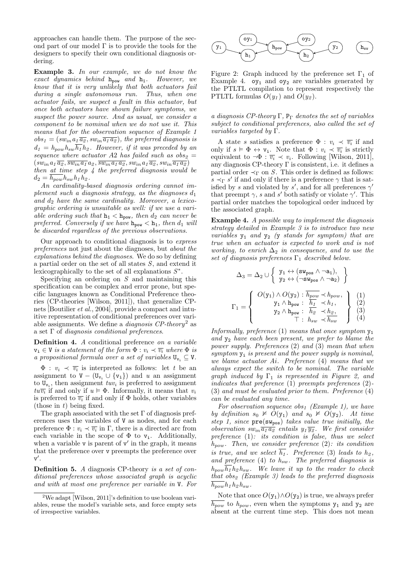approaches can handle them. The purpose of the second part of our model  $\Gamma$  is to provide the tools for the designers to specify their own conditional diagnosis ordering.

Example 3. In our example, we do not know the exact dynamics behind  $h_{\text{pow}}$  and  $h_1$ . However, we know that it is very unlikely that both actuators fail during a single autonomous run. Thus, when one actuator fails, we suspect a fault in this actuator, but once both actuators have shown failure symptoms, we suspect the power source. And as usual, we consider a component to be nominal when we do not use it. This means that for the observation sequence of Example 1  $obs_1 = (sw_{in} a_1 \overline{a_2}, sw_{in} \overline{a_1 a_2})$ , the preferred diagnosis is  $d_1 = h_{pow} h_{sw} \overline{h_1} h_2$ . However, if it was preceded by an sequence where actuator A2 has failed such as  $obs_2 =$  $(sw_{in}a_1\overline{a_2}, \overline{sw_{in}a_1}a_2, \overline{sw_{in}a_1a_2}, sw_{in}a_1\overline{a_2}, sw_{in}\overline{a_1a_2})$ then at time step 4 the preferred diagnosis would be  $d_2 = h_{pow} h_{sw} h_1 h_2$ .

An cardinality-based diagnosis ordering cannot implement such a diagnosis strategy, as the diagnoses  $d_1$ and  $d_2$  have the same cardinality. Moreover, a lexicographic ordering is unsuitable as well: if we use a variable ordering such that  $h_1 < h_{\text{pow}}$ , then  $d_2$  can never be preferred. Conversely if we have  $h_{\text{row}} < h_1$ , then  $d_1$  will be discarded regardless of the previous observations.

Our approach to conditional diagnosis is to express preferences not just about the diagnoses, but about the explanations behind the diagnoses. We do so by defining a partial order on the set of all states S, and extend it lexicographically to the set of all explanations  $S^*$ .

Specifying an ordering on  $S$  and maintaining this specification can be complex and error prone, but specific languages known as Conditional Preference theories (CP-theories [Wilson, 2011]), that generalize CPnets [Boutilier et al., 2004], provide a compact and intuitive representation of conditional preferences over variable assignments. We define a *diagnosis CP-theory*<sup>2</sup> as a set  $\Gamma$  of *diagnosis conditional preferences*.

Definition 4. A conditional preference on a variable  $v_i \in V$  is a statement of the form  $\Phi : v_i \prec \overline{v_i}$  where  $\Phi$  is a propositional formula over a set of variables  $U_{\mathbf{v}_i} \subseteq V$ .

 $\Phi: v_i \prec \overline{v_i}$  is interpreted as follows: let t be an assignment to  $V - (U_{v_i} \cup \{v_i\})$  and u an assignment to  $U_{v_i}$ , then assignment  $tuv_i$  is preferred to assignment  $tu\overline{v_i}$  if and only if  $u \models \Phi$ . Informally, it means that  $v_i$ is preferred to  $\overline{v_i}$  if and only if  $\Phi$  holds, other variables (those in  $t$ ) being fixed.

The graph associated with the set  $\Gamma$  of diagnosis preferences uses the variables of V as nodes, and for each preference  $\Phi: v_i \prec \overline{v_i}$  in  $\Gamma$ , there is a directed arc from each variable in the scope of  $\Phi$  to  $v_i$ . Additionally, when a variable  $v$  is parent of  $v'$  in the graph, it means that the preference over v preempts the preference over  $v'$ .

Definition 5. A diagnosis CP-theory is a set of conditional preferences whose associated graph is acyclic and with at most one preference per variable in V. For



Figure 2: Graph induced by the preference set  $\Gamma_1$  of Example 4.  $oy<sub>1</sub>$  and  $oy<sub>2</sub>$  are variables generated by the PTLTL compilation to represent respectively the PTLTL formulas  $O(y_1)$  and  $O(y_2)$ .

a diagnosis CP-theory Γ,  $P_{\Gamma}$  denotes the set of variables subject to conditional preferences, also called the set of variables targeted by Γ.

A state s satisfies a preference  $\Phi : v_i \prec \overline{v_i}$  if and only if  $s \models \Phi \leftrightarrow \mathbf{v_i}$ . Note that  $\Phi : v_i \prec \overline{v_i}$  is strictly equivalent to  $\neg \Phi : \overline{v_i} \prec v_i$ . Following [Wilson, 2011], any diagnosis CP-theory  $\Gamma$  is consistent, i.e. it defines a partial order  $\prec_{\Gamma}$  on S. This order is defined as follows:  $s \prec_{\Gamma} s'$  if and only if there is a preference  $\gamma$  that is satisfied by s and violated by s', and for all preferences  $\gamma'$ that preempt  $\gamma$ , s and s' both satisfy or violate  $\gamma'$ . This partial order matches the topological order induced by the associated graph.

Example 4. A possible way to implement the diagnosis strategy detailed in Example 3 is to introduce two new variables  $y_1$  and  $y_2$  (y stands for symptom) that are true when an actuator is expected to work and is not working, to enrich  $\Delta_2$  in consequence, and to use the set of diagnosis preferences  $\Gamma_1$  described below.

$$
\Delta_3 = \Delta_2 \cup \left\{ \begin{array}{l} \mathbf{y}_1 \leftrightarrow (\mathbf{s} \mathbf{w}_{\text{pos}} \wedge \neg \mathbf{a}_1), \\ \mathbf{y}_2 \leftrightarrow (\neg \mathbf{s} \mathbf{w}_{\text{pos}} \wedge \neg \mathbf{a}_2) \end{array} \right\}
$$

$$
\Gamma_1 = \left\{ \begin{array}{c} O(\mathbf{y}_1) \wedge O(\mathbf{y}_2) : \overline{h_{pow}} \prec h_{pow}, \\ \mathbf{y}_1 \wedge \mathbf{h}_{\text{pow}} : \overline{h_1} \prec h_1, \\ \mathbf{y}_2 \wedge \mathbf{h}_{\text{pow}} : \overline{h_2} \prec h_2, \\ \top : h_{sw} \prec \overline{h_{sw}} \end{array} \right\} \begin{array}{l} (1) \\ (2) \\ (3) \\ (4) \end{array}
$$

Informally, preference  $(1)$  means that once symptom  $y_1$ and  $y_2$  have each been present, we prefer to blame the power supply. Preferences (2) and (3) mean that when symptom  $y_i$  is present and the power supply is nominal, we blame actuator Ai. Preference (4) means that we always expect the switch to be nominal. The variable graph induced by  $\Gamma_1$  is represented in Figure 2, and indicates that preference (1) preempts preferences (2)- (3) and must be evaluated prior to them. Preference (4) can be evaluated any time.

For observation sequence obs<sub>1</sub> (Example 1), we have by definition  $s_0 \nvDash O(y_1)$  and  $s_0 \nvDash O(y_2)$ . At time step 1, since  $pre(sw_{pos})$  takes value true initially, the observation  $sw_{in} \overline{a_1 a_2}$  entails  $y_1 \overline{y_2}$ . We first consider preference (1): its condition is false, thus we select  $h_{pow}$ . Then, we consider preference (2): its condition is true, and we select  $\overline{h_1}$ . Preference (3) leads to  $h_2$ , and preference  $(4)$  to  $h_{sw}$ . The preferred diagnosis is  $h_{pow}\overline{h_1}h_2h_{sw}$ . We leave it up to the reader to check that obs<sub>2</sub> (Example 3) leads to the preferred diagnosis  $h_{pow} h_1 h_2 h_{sw}$ .

Note that once  $O(y_1) \wedge O(y_2)$  is true, we always prefer  $h_{pow}$  to  $h_{pow}$ , even when the symptoms  $y_1$  and  $y_2$  are absent at the current time step. This does not mean

<sup>&</sup>lt;sup>2</sup>We adapt [Wilson, 2011]'s definition to use boolean variables, reuse the model's variable sets, and force empty sets of irrespective variables.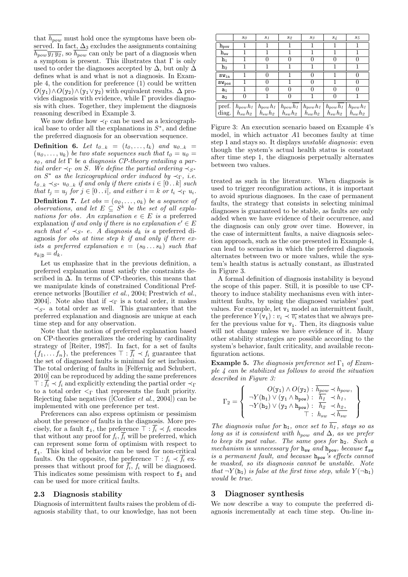that  $h_{pow}$  must hold once the symptoms have been observed. In fact,  $\Delta_3$  excludes the assignments containing  $h_{pow} \overline{y_1 y_2}$ , so  $h_{pow}$  can only be part of a diagnosis when a symptom is present. This illustrates that  $\Gamma$  is only used to order the diagnoses accepted by  $\Delta$ , but only  $\Delta$ defines what is and what is not a diagnosis. In Example 4, the condition for preference (1) could be written  $O(y_1) \wedge O(y_2) \wedge (y_1 \vee y_2)$  with equivalent results.  $\Delta$  provides diagnosis with evidence, while Γ provides diagnosis with clues. Together, they implement the diagnosis reasoning described in Example 3.

We now define how  $\prec_{\Gamma}$  can be used as a lexicographical base to order all the explanations in  $S^*$ , and define the preferred diagnosis for an observation sequence.

**Definition 6.** Let  $t_{0,k} = (t_0, \ldots, t_k)$  and  $u_{0,k}$  $(u_0, \ldots, u_k)$  be two state sequences such that  $t_0 = u_0 =$  $s_0$ , and let  $\Gamma$  be a diagnosis CP-theory entailing a partial order  $\prec_{\Gamma}$  on S. We define the partial ordering  $\prec_{S^*}$ on  $S^*$  as the lexicographical order induced by  $\prec_{\Gamma}$ , i.e.  $t_{0..k} \prec_{S^*} u_{0..k}$  if and only if there exists  $i \in [0..k]$  such that  $t_i = u_i$  for  $j \in [0 \dots i]$ , and either  $i = k$  or  $t_i \prec_{\Gamma} u_i$ . **Definition 7.** Let  $obs = (o_0, \ldots, o_k)$  be a sequence of observations, and let  $E \subseteq S^k$  be the set of all explanations for obs. An explanation  $e \in E$  is a preferred explanation if and only if there is no explanation  $e' \in E$ such that  $e' \prec_{S^*} e$ . A diagnosis  $d_k$  is a preferred diagnosis for obs at time step  $k$  if and only if there exists a preferred explanation  $e = (s_0 \dots s_k)$  such that  $s_{k|D} = d_k.$ 

Let us emphasize that in the previous definition, a preferred explanation must satisfy the constraints described in  $\Delta$ . In terms of CP-theories, this means that we manipulate kinds of constrained Conditional Preference networks [Boutilier et al., 2004; Prestwich et al., 2004]. Note also that if  $\prec_{\Gamma}$  is a total order, it makes  $\prec_{S^*}$  a total order as well. This guarantees that the preferred explanation and diagnosis are unique at each time step and for any observation.

Note that the notion of preferred explanation based on CP-theories generalizes the ordering by cardinality strategy of [Reiter, 1987]. In fact, for a set of faults  $\{f_1, \ldots, f_n\}$ , the preferences  $\top : \overline{f_i} \prec f_i$  guarantee that the set of diagnosed faults is minimal for set inclusion. The total ordering of faults in [Felfernig and Schubert, 2010] can be reproduced by adding the same preferences  $\top : \overline{f_i} \prec f_i$  and explicitly extending the partial order  $\prec_{\Gamma}$ to a total order  $\leq_{\Gamma}$  that represents the fault priority. Rejecting false negatives ([Cordier *et al.*, 2004]) can be implemented with one preference per test.

Preferences can also express optimism or pessimism about the presence of faults in the diagnosis. More precisely, for a fault  $f_i$ , the preference  $\top : \overline{f_i} \prec f_i$  encodes that without any proof for  $f_i, f_i$  will be preferred, which can represent some form of optimism with respect to fi. This kind of behavior can be used for non-critical faults. On the opposite, the preference  $\top : f_i \prec f_i$  expresses that without proof for  $f_i$ ,  $f_i$  will be diagnosed. This indicates some pessimism with respect to  $f_i$  and can be used for more critical faults.

#### 2.3 Diagnosis stability

Diagnosis of intermittent faults raises the problem of diagnosis stability that, to our knowledge, has not been

|                             | $s_0$        | $s_1$        | $s_2$                                          | $s_3$         | $s_4$         | $s_5$        |
|-----------------------------|--------------|--------------|------------------------------------------------|---------------|---------------|--------------|
| $\mathbf{h}_{\text{pow}}$   |              |              |                                                |               |               |              |
| ${\rm h}_{\rm sw}$          |              |              |                                                |               |               |              |
| $h_1$                       |              |              |                                                |               | $\theta$      |              |
| h <sub>2</sub>              |              |              |                                                |               |               |              |
| $\mathtt{SW}_{\mathtt{in}}$ |              | $\mathbf{0}$ |                                                | $\mathbf{0}$  |               | $\mathbf{0}$ |
| $SW_{pos}$                  |              |              |                                                | $\mathbf{0}$  |               |              |
| $a_1$                       |              |              | $\left( \right)$                               |               | $\mathbf{0}$  |              |
| a <sub>2</sub>              | $\theta$     |              |                                                |               | 0             |              |
| pref.                       | $h_{pow}h_1$ | $h_{pow}h_1$ | $h_{pow}\overline{h_{1}}$                      | $h_{pow}h_1$  | $h_{pow}h_1$  | $h_{pow}h_1$ |
| diag.                       |              |              | $h_{sw}h_2 \mid h_{sw}h_2 \mid h_{sw}h_2 \mid$ | $h_{sw}h_{2}$ | $h_{sw}h_{2}$ | $h_{sw}h_2$  |

Figure 3: An execution scenario based on Example 4's model, in which actuator A1 becomes faulty at time step 1 and stays so. It displays unstable diagnosis: even though the system's actual health status is constant after time step 1, the diagnosis perpetually alternates between two values.

treated as such in the literature. When diagnosis is used to trigger reconfiguration actions, it is important to avoid spurious diagnoses. In the case of permanent faults, the strategy that consists in selecting minimal diagnoses is guaranteed to be stable, as faults are only added when we have evidence of their occurrence, and the diagnosis can only grow over time. However, in the case of intermittent faults, a naive diagnosis selection approach, such as the one presented in Example 4, can lead to scenarios in which the preferred diagnosis alternates between two or more values, while the system's health status is actually constant, as illustrated in Figure 3.

A formal definition of diagnosis instability is beyond the scope of this paper. Still, it is possible to use CPtheory to induce stability mechanisms even with intermittent faults, by using the diagnosed variables' past values. For example, let  $v_i$  model an intermittent fault, the preference  $Y(\mathbf{v_i}) : v_i \prec \overline{v_i}$  states that we always prefer the previous value for  $v_i$ . Then, its diagnosis value will not change unless we have evidence of it. Many other stability strategies are possible according to the system's behavior, fault criticality, and available reconfiguration actions.

**Example 5.** The diagnosis preference set  $\Gamma_1$  of Example 4 can be stabilized as follows to avoid the situation described in Figure 3:

$$
\Gamma_2 = \left\{ \begin{array}{c} O(\mathbf{y}_1) \wedge O(\mathbf{y}_2) : \overline{h_{pow}} \prec h_{pow}, \\ \neg Y(\mathbf{h}_1) \vee (\mathbf{y}_1 \wedge \mathbf{h}_{pow}) : \overline{h_1} \prec h_1, \\ \neg Y(\mathbf{h}_2) \vee (\mathbf{y}_2 \wedge \mathbf{h}_{pow}) : \overline{h_2} \prec h_2, \\ \top : \overline{h_{sw}} \prec \overline{h_{sw}} \end{array} \right\}
$$

The diagnosis value for  $h_1$ , once set to  $\overline{h_1}$ , stays so as long as it is consistent with  $h_{pow}$  and  $\Delta$ , as we prefer to keep its past value. The same goes for  $h_2$ . Such a mechanism is unnecessary for  $h_{sw}$  and  $h_{pow}$ , because  $f_{sw}$ is a permanent fault, and because  $h_{\text{pow}}$  is effects cannot be masked, so its diagnosis cannot be unstable. Note that  $\neg Y(\mathbf{h}_1)$  is false at the first time step, while  $Y(\neg \mathbf{h}_1)$ would be true.

#### 3 Diagnoser synthesis

We now describe a way to compute the preferred diagnosis incrementally at each time step. On-line in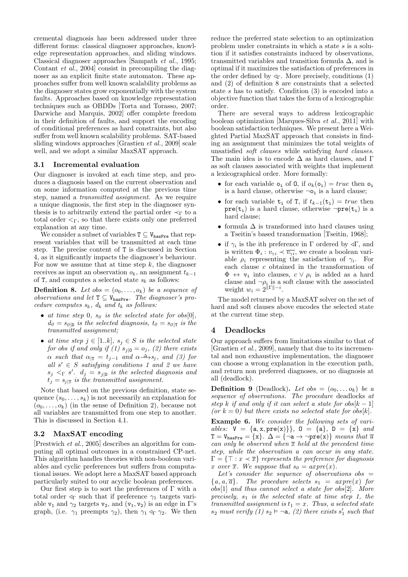cremental diagnosis has been addressed under three different forms: classical diagnoser approaches, knowledge representation approaches, and sliding windows. Classical diagnoser approaches [Sampath et al., 1995; Contant et al., 2004] consist in precompiling the diagnoser as an explicit finite state automaton. These approaches suffer from well known scalability problems as the diagnoser states grow exponentially with the system faults. Approaches based on knowledge representation techniques such as OBDDs [Torta and Torasso, 2007; Darwiche and Marquis, 2002] offer complete freedom in their definition of faults, and support the encoding of conditional preferences as hard constraints, but also suffer from well known scalability problems. SAT-based sliding windows approaches [Grastien et al., 2009] scale well, and we adopt a similar MaxSAT approach.

#### 3.1 Incremental evaluation

Our diagnoser is invoked at each time step, and produces a diagnosis based on the current observation and on some information computed at the previous time step, named a transmitted assignment. As we require a unique diagnosis, the first step in the diagnoser synthesis is to arbitrarily extend the partial order  $\prec_{\Gamma}$  to a total order  $\leq_{\Gamma}$ , so that there exists only one preferred explanation at any time.

We consider a subset of variables  $T \subseteq V_{\text{hasPre}}$  that represent variables that will be transmitted at each time step. The precise content of T is discussed in Section 4, as it significantly impacts the diagnoser's behaviour. For now we assume that at time step  $k$ , the diagnoser receives as input an observation  $o_k$ , an assignment  $t_{k-1}$ of T, and computes a selected state  $s_k$  as follows:

**Definition 8.** Let obs =  $(o_0, \ldots, o_k)$  be a sequence of observations and let  $T \subseteq V_{\text{hasPre}}$ . The diagnoser's procedure computes  $s_k$ ,  $d_k$  and  $t_k$  as follows:

- at time step 0,  $s_0$  is the selected state for obs[0],  $d_0 = s_{0|\mathbb{D}}$  is the selected diagnosis,  $t_0 = s_{0|\mathbb{D}}$  is the transmitted assignment;
- at time step  $j \in [1..k], s_j \in S$  is the selected state for obs if and only if  $(1)$   $s_{j|0} = o_j$ ,  $(2)$  there exists  $\alpha$  such that  $\alpha_{|T} = t_{j-1}$  and  $\alpha \stackrel{\Delta}{\longrightarrow} s_j$ , and (3) for all  $s' \in S$  satisfying conditions 1 and 2 we have  $s_j <_{\Gamma} s'$ .  $d_j = s_{j|\mathcal{D}}$  is the selected diagnosis and  $t_i = s_{i|\text{T}}$  is the transmitted assignment.

Note that based on the previous definition, state sequence  $(s_0, \ldots, s_k)$  is not necessarily an explanation for  $(o_0, \ldots, o_k)$  (in the sense of Definition 2), because not all variables are transmitted from one step to another. This is discussed in Section 4.1.

### 3.2 MaxSAT encoding

[Prestwich et al., 2005] describes an algorithm for computing all optimal outcomes in a constrained CP-net. This algorithm handles theories with non-boolean variables and cyclic preferences but suffers from computational issues. We adopt here a MaxSAT based approach particularly suited to our acyclic boolean preferences.

Our first step is to sort the preferences of  $\Gamma$  with a total order  $\triangleleft_{\Gamma}$  such that if preference  $\gamma_1$  targets variable  $v_1$  and  $\gamma_2$  targets  $v_2$ , and  $(v_1, v_2)$  is an edge in  $\Gamma$ 's graph, (i.e.  $\gamma_1$  preempts  $\gamma_2$ ), then  $\gamma_1 \triangleleft_{\Gamma} \gamma_2$ . We then reduce the preferred state selection to an optimization problem under constraints in which a state s is a solution if it satisfies constraints induced by observations, transmitted variables and transition formula  $\Delta$ , and is optimal if it maximizes the satisfaction of preferences in the order defined by  $\triangleleft_{\Gamma}$ . More precisely, conditions (1) and (2) of definition 8 are constraints that a selected state  $s$  has to satisfy. Condition (3) is encoded into a objective function that takes the form of a lexicographic order.

There are several ways to address lexicographic boolean optimization [Marques-Silva et al., 2011] with boolean satisfaction techniques. We present here a Weighted Partial MaxSAT approach that consists in finding an assignment that minimizes the total weights of unsatisfied soft clauses while satisfying hard clauses. The main idea is to encode  $\Delta$  as hard clauses, and  $\Gamma$ as soft clauses associated with weights that implement a lexicographical order. More formally:

- for each variable  $o_i$  of 0, if  $o_k(o_i) = true$  then  $o_i$ is a hard clause, otherwise  $\neg$ o<sub>i</sub> is a hard clause;
- for each variable  $t_i$  of T, if  $t_{k-1}(t_i) = true$  then  $pre(t_i)$  is a hard clause, otherwise  $\neg pre(t_i)$  is a hard clause;
- formula  $\Delta$  is transformed into hard clauses using a Tseitin's based transformation [Tseitin, 1968];
- if  $\gamma_i$  is the ith preference in  $\Gamma$  ordered by  $\mathcal{A}\Gamma$ , and is written  $\Phi_i: v_{\gamma i} \prec \overline{v_{\gamma i}}$ , we create a boolean variable  $\rho_i$  representing the satisfaction of  $\gamma_i$ . For each clause c obtained in the transformation of  $\Phi \leftrightarrow \mathbf{v_i}$  into clauses,  $c \vee \rho_i$  is added as a hard clause and  $\neg \rho_i$  is a soft clause with the associated weight  $w_i = 2^{\|\Gamma\|-i}$ .

The model returned by a MaxSAT solver on the set of hard and soft clauses above encodes the selected state at the current time step.

### 4 Deadlocks

Our approach suffers from limitations similar to that of [Grastien et al., 2009], namely that due to its incremental and non exhaustive implementation, the diagnoser can choose a wrong explanation in the execution path, and return non preferred diagnoses, or no diagnosis at all (deadlock).

**Definition 9** (Deadlock). Let obs =  $(o_0, \ldots o_k)$  be a sequence of observations. The procedure deadlocks at step k if and only if it can select a state for  $obs[k-1]$ (or  $k = 0$ ) but there exists no selected state for obs[k].

Example 6. We consider the following sets of variables:  $V = \{a, x, pre(x)\}\}\,$ ,  $0 = \{a\}$ ,  $D = \{x\}$  and  $T = V_{\text{hasPre}} = \{x\}. \ \Delta = \{\neg a \rightarrow \neg \text{pre}(x)\}\ \text{means that } \overline{a}$ can only be observed when  $\bar{x}$  held at the precedent time step, while the observation a can occur in any state.  $\Gamma = \{ \top : x \prec \overline{x} \}$  represents the preference for diagnosis x over  $\overline{x}$ . We suppose that  $s_0 = a$ xpre $(x)$ .

Let's consider the sequence of observations obs  $=$  ${a, a, \overline{a}}$ . The procedure selects  $s_1 = \alpha x pre(x)$  for obs[1] and thus cannot select a state for obs[2]. More precisely,  $s_1$  is the selected state at time step 1, the transmitted assignment is  $t_1 = x$ . Thus, a selected state  $s_2$  must verify  $(1)$   $s_2 \vDash \neg a$ ,  $(2)$  there exists  $s'_1$  such that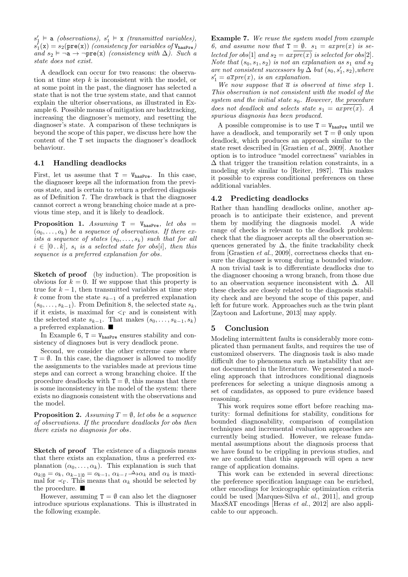$s'_1 \vDash$  a (observations),  $s'_1 \vDash$  x (transmitted variables),  $s_1^{\prime}(\mathbf{x}) = s_2(\texttt{pre}(\mathbf{x}))$  (consistency for variables of  $\mathtt{V_{hasPre}}$ ) and  $s_2 \vDash \neg a \rightarrow \neg pre(x)$  (consistency with  $\Delta$ ). Such a state does not exist.

A deadlock can occur for two reasons: the observation at time step  $k$  is inconsistent with the model, or at some point in the past, the diagnoser has selected a state that is not the true system state, and that cannot explain the ulterior observations, as illustrated in Example 6. Possible means of mitigation are backtracking, increasing the diagnoser's memory, and resetting the diagnoser's state. A comparison of these techniques is beyond the scope of this paper, we discuss here how the content of the T set impacts the diagnoser's deadlock behaviour.

#### 4.1 Handling deadlocks

First, let us assume that  $T = V_{\text{hasPre}}$ . In this case, the diagnoser keeps all the information from the previous state, and is certain to return a preferred diagnosis as of Definition 7. The drawback is that the diagnoser cannot correct a wrong branching choice made at a previous time step, and it is likely to deadlock.

**Proposition 1.** Assuming  $T = V_{\text{hasPre}}$ , let obs =  $(o_0, \ldots, o_k)$  be a sequence of observations. If there exists a sequence of states  $(s_0, \ldots, s_k)$  such that for all  $i \in [0..k], s_i$  is a selected state for obs[i], then this sequence is a preferred explanation for obs.

Sketch of proof (by induction). The proposition is obvious for  $k = 0$ . If we suppose that this property is true for  $k - 1$ , then transmitted variables at time step k come from the state  $s_{k-1}$  of a preferred explanation  $(s_0, \ldots, s_{k-1})$ . From Definition 8, the selected state  $s_k$ , if it exists, is maximal for  $\leq_{\Gamma}$  and is consistent with the selected state  $s_{k-1}$ . That makes  $(s_0, \ldots, s_{k-1}, s_k)$ a preferred explanation.  $\blacksquare$ 

In Example 6,  $T = V_{\text{hasPre}}$  ensures stability and consistency of diagnoses but is very deadlock prone.

Second, we consider the other extreme case where  $T = \emptyset$ . In this case, the diagnoser is allowed to modify the assignments to the variables made at previous time steps and can correct a wrong branching choice. If the procedure deadlocks with  $T = \emptyset$ , this means that there is some inconsistency in the model of the system: there exists no diagnosis consistent with the observations and the model.

**Proposition 2.** Assuming  $T = \emptyset$ , let obs be a sequence of observations. If the procedure deadlocks for obs then there exists no diagnosis for obs.

Sketch of proof The existence of a diagnosis means that there exists an explanation, thus a preferred explanation  $(\alpha_0, \ldots, \alpha_k)$ . This explanation is such that  $\alpha_{k|0} = o_k$ ,  $\alpha_{k-1|0} = o_{k-1}$ ,  $\alpha_{k-1} \stackrel{\Delta}{\longrightarrow} \alpha_k$  and  $\alpha_k$  is maximal for  $\prec_{\Gamma}$ . This means that  $\alpha_k$  should be selected by the procedure.

However, assuming  $T = \emptyset$  can also let the diagnoser introduce spurious explanations. This is illustrated in the following example.

Example 7. We reuse the system model from example 6, and assume now that  $T = \emptyset$ .  $s_1 = \text{axpre}(x)$  is selected for obs[1] and  $s_2 = \alpha x pre(x)$  is selected for obs[2]. Note that  $(s_0, s_1, s_2)$  is not an explanation as  $s_1$  and  $s_2$ are not consistent successors by  $\Delta$  but  $(s_0, s'_1, s_2)$ , where  $s_1' = a \overline{x} pre(x),$  is an explanation.

We now suppose that  $\overline{a}$  is observed at time step 1. This observation is not consistent with the model of the system and the initial state  $s_0$ . However, the procedure does not deadlock and selects state  $s_1 = ax \overline{pre(x)}$ . A spurious diagnosis has been produced.

A possible compromise is to use  $T = V_{\text{hasPre}}$  until we have a deadlock, and temporarily set  $T = \emptyset$  only upon deadlock, which produces an approach similar to the state reset described in [Grastien et al., 2009]. Another option is to introduce "model correctness" variables in  $\Delta$  that trigger the transition relation constraints, in a modeling style similar to [Reiter, 1987]. This makes it possible to express conditional preferences on these additional variables.

### 4.2 Predicting deadlocks

Rather than handling deadlocks online, another approach is to anticipate their existence, and prevent them by modifying the diagnosis model. A wide range of checks is relevant to the deadlock problem: check that the diagnoser accepts all the observation sequences generated by  $\Delta$ , the finite trackability check from [Grastien et al., 2009], correctness checks that ensure the diagnoser is wrong during a bounded window. A non trivial task is to differentiate deadlocks due to the diagnoser choosing a wrong branch, from those due to an observation sequence inconsistent with ∆. All these checks are closely related to the diagnosis stability check and are beyond the scope of this paper, and left for future work. Approaches such as the twin plant [Zaytoon and Lafortune, 2013] may apply.

### 5 Conclusion

Modeling intermittent faults is considerably more complicated than permanent faults, and requires the use of customized observers. The diagnosis task is also made difficult due to phenomena such as instability that are not documented in the literature. We presented a modeling approach that introduces conditional diagnosis preferences for selecting a unique diagnosis among a set of candidates, as opposed to pure evidence based reasoning.

This work requires some effort before reaching maturity: formal definitions for stability, conditions for bounded diagnosability, comparison of compilation techniques and incremental evaluation approaches are currently being studied. However, we release fundamental assumptions about the diagnosis process that we have found to be crippling in previous studies, and we are confident that this approach will open a new range of application domains.

This work can be extended in several directions: the preference specification language can be enriched, other encodings for lexicographic optimization criteria could be used [Marques-Silva et al., 2011], and group MaxSAT encodings [Heras et al., 2012] are also applicable to our approach.